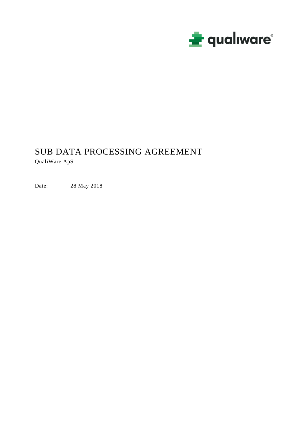

# SUB DATA PROCESSING AGREEMENT QualiWare ApS

Date: 28 May 2018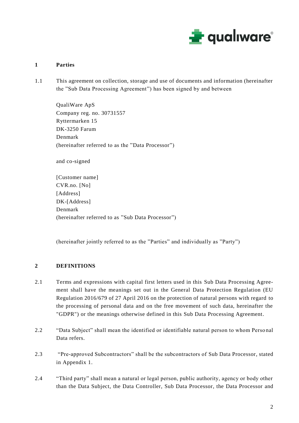

## **1 Parties**

1.1 This agreement on collection, storage and use of documents and information (hereinafter the "Sub Data Processing Agreement") has been signed by and between

QualiWare ApS Company reg. no. 30731557 Ryttermarken 15 DK-3250 Farum Denmark (hereinafter referred to as the "Data Processor")

and co-signed

[Customer name] CVR.no. [No] [Address] DK-[Address] Denmark (hereinafter referred to as "Sub Data Processor")

(hereinafter jointly referred to as the "Parties" and individually as "Party")

#### **2 DEFINITIONS**

- 2.1 Terms and expressions with capital first letters used in this Sub Data Processing Agreement shall have the meanings set out in the General Data Protection Regulation (EU Regulation 2016/679 of 27 April 2016 on the protection of natural persons with regard to the processing of personal data and on the free movement of such data, hereinafter the "GDPR") or the meanings otherwise defined in this Sub Data Processing Agreement.
- 2.2 "Data Subject" shall mean the identified or identifiable natural person to whom Perso nal Data refers.
- 2.3 "Pre-approved Subcontractors" shall be the subcontractors of Sub Data Processor, stated in Appendix 1.
- 2.4 "Third party" shall mean a natural or legal person, public authority, agency or body other than the Data Subject, the Data Controller, Sub Data Processor, the Data Processor and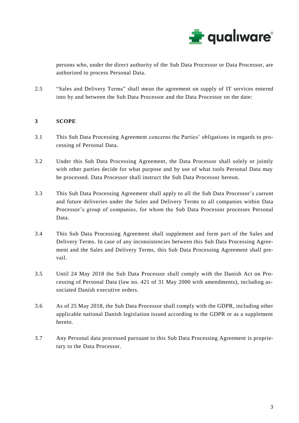

persons who, under the direct authority of the Sub Data Processor or Data Processor, are authorized to process Personal Data.

2.5 "Sales and Delivery Terms" shall mean the agreement on supply of IT services entered into by and between the Sub Data Processor and the Data Processor on the date:

# **3 SCOPE**

- 3.1 This Sub Data Processing Agreement concerns the Parties' obligations in regards to processing of Personal Data.
- 3.2 Under this Sub Data Processing Agreement, the Data Processor shall solely or jointly with other parties decide for what purpose and by use of what tools Personal Data may be processed. Data Processor shall instruct the Sub Data Processor hereon.
- 3.3 This Sub Data Processing Agreement shall apply to all the Sub Data Processor's current and future deliveries under the Sales and Delivery Terms to all companies within Data Processor's group of companies, for whom the Sub Data Processor processes Personal Data.
- 3.4 This Sub Data Processing Agreement shall supplement and form part of the Sales and Delivery Terms. In case of any inconsistencies between this Sub Data Processing Agreement and the Sales and Delivery Terms, this Sub Data Processing Agreement shall prevail.
- 3.5 Until 24 May 2018 the Sub Data Processor shall comply with the Danish Act on Processing of Personal Data (law no. 421 of 31 May 2000 with amendments), including associated Danish executive orders.
- 3.6 As of 25 May 2018, the Sub Data Processor shall comply with the GDPR, including other applicable national Danish legislation issued according to the GDPR or as a supplement hereto.
- 3.7 Any Personal data processed pursuant to this Sub Data Processing Agreement is proprietary to the Data Processor.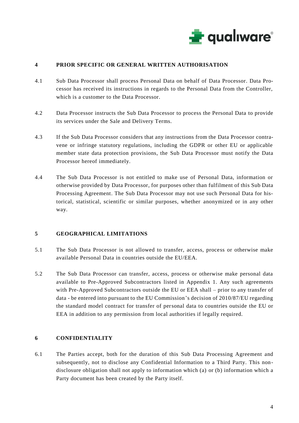

#### **4 PRIOR SPECIFIC OR GENERAL WRITTEN AUTHORISATION**

- 4.1 Sub Data Processor shall process Personal Data on behalf of Data Processor. Data Processor has received its instructions in regards to the Personal Data from the Controller, which is a customer to the Data Processor.
- 4.2 Data Processor instructs the Sub Data Processor to process the Personal Data to provide its services under the Sale and Delivery Terms.
- 4.3 If the Sub Data Processor considers that any instructions from the Data Processor contravene or infringe statutory regulations, including the GDPR or other EU or applicable member state data protection provisions, the Sub Data Processor must notify the Data Processor hereof immediately.
- 4.4 The Sub Data Processor is not entitled to make use of Personal Data, information or otherwise provided by Data Processor, for purposes other than fulfilment of this Sub Data Processing Agreement. The Sub Data Processor may not use such Personal Data for historical, statistical, scientific or similar purposes, whether anonymized or in any other way.

#### **5 GEOGRAPHICAL LIMITATIONS**

- 5.1 The Sub Data Processor is not allowed to transfer, access, process or otherwise make available Personal Data in countries outside the EU/EEA.
- 5.2 The Sub Data Processor can transfer, access, process or otherwise make personal data available to Pre-Approved Subcontractors listed in Appendix 1. Any such agreements with Pre-Approved Subcontractors outside the EU or EEA shall – prior to any transfer of data - be entered into pursuant to the EU Commission's decision of 2010/87/EU regarding the standard model contract for transfer of personal data to countries outside the EU or EEA in addition to any permission from local authorities if legally required.

# **6 CONFIDENTIALITY**

6.1 The Parties accept, both for the duration of this Sub Data Processing Agreement and subsequently, not to disclose any Confidential Information to a Third Party. This nondisclosure obligation shall not apply to information which (a) or (b) information which a Party document has been created by the Party itself.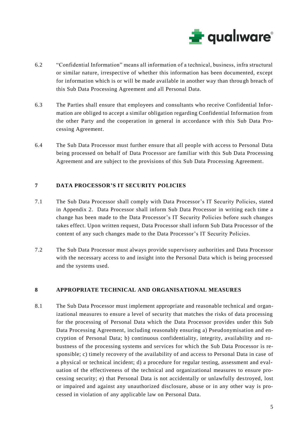

- 6.2 "Confidential Information" means all information of a technical, business, infra structural or similar nature, irrespective of whether this information has been documented, except for information which is or will be made available in another way than throu gh breach of this Sub Data Processing Agreement and all Personal Data.
- 6.3 The Parties shall ensure that employees and consultants who receive Confidential Information are obliged to accept a similar obligation regarding Confidential Information from the other Party and the cooperation in general in accordance with this Sub Data Processing Agreement.
- 6.4 The Sub Data Processor must further ensure that all people with access to Personal Data being processed on behalf of Data Processor are familiar with this Sub Data Processing Agreement and are subject to the provisions of this Sub Data Processing Agreement.

#### **7 DATA PROCESSOR'S IT SECURITY POLICIES**

- 7.1 The Sub Data Processor shall comply with Data Processor's IT Security Policies, stated in Appendix 2. Data Processor shall inform Sub Data Processor in writing each time a change has been made to the Data Processor's IT Security Policies before such changes takes effect. Upon written request, Data Processor shall inform Sub Data Processor of the content of any such changes made to the Data Processor's IT Security Policies.
- 7.2 The Sub Data Processor must always provide supervisory authorities and Data Processor with the necessary access to and insight into the Personal Data which is being processed and the systems used.

#### **8 APPROPRIATE TECHNICAL AND ORGANISATIONAL MEASURES**

8.1 The Sub Data Processor must implement appropriate and reasonable technical and organizational measures to ensure a level of security that matches the risks of data processing for the processing of Personal Data which the Data Processor provides under this Sub Data Processing Agreement, including reasonably ensuring a) Pseudonymisation and encryption of Personal Data; b) continuous confidentiality, integrity, availability and robustness of the processing systems and services for which the Sub Data Processor is responsible; c) timely recovery of the availability of and access to Personal Data in case of a physical or technical incident; d) a procedure for regular testing, assessment and evaluation of the effectiveness of the technical and organizational measures to ensure processing security; e) that Personal Data is not accidentally or unlawfully destroyed, lost or impaired and against any unauthorized disclosure, abuse or in any other way is processed in violation of any applicable law on Personal Data.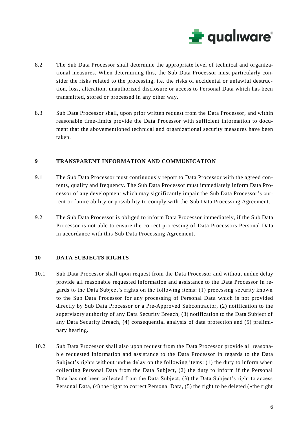

- 8.2 The Sub Data Processor shall determine the appropriate level of technical and organizational measures. When determining this, the Sub Data Processor must particularly consider the risks related to the processing, i.e. the risks of accidental or unlawful destruction, loss, alteration, unauthorized disclosure or access to Personal Data which has been transmitted, stored or processed in any other way.
- 8.3 Sub Data Processor shall, upon prior written request from the Data Processor, and within reasonable time-limits provide the Data Processor with sufficient information to document that the abovementioned technical and organizational security measures have been taken.

#### **9 TRANSPARENT INFORMATION AND COMMUNICATION**

- 9.1 The Sub Data Processor must continuously report to Data Processor with the agreed contents, quality and frequency. The Sub Data Processor must immediately inform Data Processor of any development which may significantly impair the Sub Data Processor's current or future ability or possibility to comply with the Sub Data Processing Agreement.
- 9.2 The Sub Data Processor is obliged to inform Data Processor immediately, if the Sub Data Processor is not able to ensure the correct processing of Data Processors Personal Data in accordance with this Sub Data Processing Agreement.

#### **10 DATA SUBJECTS RIGHTS**

- 10.1 Sub Data Processor shall upon request from the Data Processor and without undue delay provide all reasonable requested information and assistance to the Data Processor in regards to the Data Subject's rights on the following items: (1) processing security known to the Sub Data Processor for any processing of Personal Data which is not provided directly by Sub Data Processor or a Pre-Approved Subcontractor, (2) notification to the supervisory authority of any Data Security Breach, (3) notification to the Data Subject of any Data Security Breach, (4) consequential analysis of data protection and (5) preliminary hearing.
- 10.2 Sub Data Processor shall also upon request from the Data Processor provide all reasonable requested information and assistance to the Data Processor in regards to the Data Subject's rights without undue delay on the following items: (1) the duty to inform when collecting Personal Data from the Data Subject, (2) the duty to inform if the Personal Data has not been collected from the Data Subject, (3) the Data Subject's right to access Personal Data, (4) the right to correct Personal Data, (5) the right to be deleted (»the right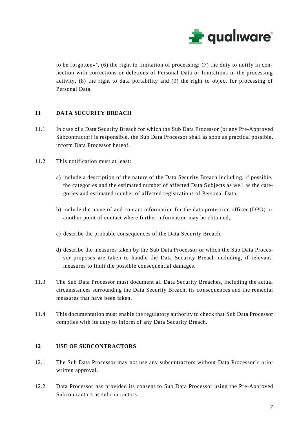

to be forgotten«), (6) the right to limitation of processing; (7) the duty to notify in connection with corrections or deletions of Personal Data or limitations in the processing activity, (8) the right to data portability and (9) the right to object for processing of Personal Data.

#### **11 DATA SECURITY BREACH**

- 11.1 In case of a Data Security Breach for which the Sub Data Processor (or any Pre-Approved Subcontractor) is responsible, the Sub Data Processor shall as soon as practical possible, inform Data Processor hereof.
- 11.2 This notification must at least:
	- a) include a description of the nature of the Data Security Breach including, if possible, the categories and the estimated number of affected Data Subjects as well as the categories and estimated number of affected registrations of Personal Data,
	- b) include the name of and contact information for the data protection officer (DPO) or another point of contact where further information may be obtained,
	- c) describe the probable consequences of the Data Security Breach,
	- d) describe the measures taken by the Sub Data Processor or which the Sub Data Processor proposes are taken to handle the Data Security Breach including, if relevant, measures to limit the possible consequential damages.
- 11.3 The Sub Data Processor must document all Data Security Breaches, including the actual circumstances surrounding the Data Security Breach, its consequences and the remedial measures that have been taken.
- 11.4 This documentation must enable the regulatory authority to check that Sub Data Processor complies with its duty to inform of any Data Security Breach.

#### **12 USE OF SUBCONTRACTORS**

- 12.1 The Sub Data Processor may not use any subcontractors without Data Processor's prior written approval.
- 12.2 Data Processor has provided its consent to Sub Data Processor using the Pre-Approved Subcontractors as subcontractors.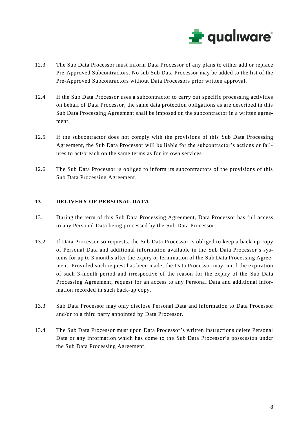

- 12.3 The Sub Data Processor must inform Data Processor of any plans to either add or replace Pre-Approved Subcontractors. No sub Sub Data Processor may be added to the list of the Pre-Approved Subcontractors without Data Processors prior written approval.
- 12.4 If the Sub Data Processor uses a subcontractor to carry out specific processing activities on behalf of Data Processor, the same data protection obligations as are described in this Sub Data Processing Agreement shall be imposed on the subcontractor in a written agreement.
- 12.5 If the subcontractor does not comply with the provisions of this Sub Data Processing Agreement, the Sub Data Processor will be liable for the subcontractor's actions or failures to act/breach on the same terms as for its own services.
- 12.6 The Sub Data Processor is obliged to inform its subcontractors of the provisions of this Sub Data Processing Agreement.

#### **13 DELIVERY OF PERSONAL DATA**

- 13.1 During the term of this Sub Data Processing Agreement, Data Processor has full access to any Personal Data being processed by the Sub Data Processor.
- 13.2 If Data Processor so requests, the Sub Data Processor is obliged to keep a back-up copy of Personal Data and additional information available in the Sub Data Processor's systems for up to 3 months after the expiry or termination of the Sub Data Processing Agreement. Provided such request has been made, the Data Processor may, until the expiration of such 3-month period and irrespective of the reason for the expiry of the Sub Data Processing Agreement, request for an access to any Personal Data and additional information recorded in such back-up copy.
- 13.3 Sub Data Processor may only disclose Personal Data and information to Data Processor and/or to a third party appointed by Data Processor.
- 13.4 The Sub Data Processor must upon Data Processor's written instructions delete Personal Data or any information which has come to the Sub Data Processor's possession under the Sub Data Processing Agreement.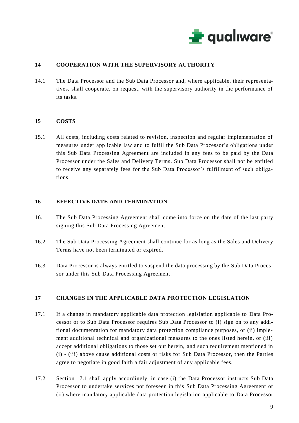

## **14 COOPERATION WITH THE SUPERVISORY AUTHORITY**

14.1 The Data Processor and the Sub Data Processor and, where applicable, their representatives, shall cooperate, on request, with the supervisory authority in the performance of its tasks.

#### **15 COSTS**

15.1 All costs, including costs related to revision, inspection and regular implementation of measures under applicable law and to fulfil the Sub Data Processor's obligations under this Sub Data Processing Agreement are included in any fees to be paid by the Data Processor under the Sales and Delivery Terms. Sub Data Processor shall not be entitled to receive any separately fees for the Sub Data Processor's fulfillment of such obligations.

#### **16 EFFECTIVE DATE AND TERMINATION**

- 16.1 The Sub Data Processing Agreement shall come into force on the date of the last party signing this Sub Data Processing Agreement.
- 16.2 The Sub Data Processing Agreement shall continue for as long as the Sales and Delivery Terms have not been terminated or expired.
- 16.3 Data Processor is always entitled to suspend the data processing by the Sub Data Processor under this Sub Data Processing Agreement.

#### **17 CHANGES IN THE APPLICABLE DATA PROTECTION LEGISLATION**

- 17.1 If a change in mandatory applicable data protection legislation applicable to Data Processor or to Sub Data Processor requires Sub Data Processor to (i) sign on to any additional documentation for mandatory data protection compliance purposes, or (ii) implement additional technical and organizational measures to the ones listed herein, or (iii) accept additional obligations to those set out herein, and such requirement mentioned in (i) - (iii) above cause additional costs or risks for Sub Data Processor, then the Parties agree to negotiate in good faith a fair adjustment of any applicable fees.
- 17.2 Section 17.1 shall apply accordingly, in case (i) the Data Processor instructs Sub Data Processor to undertake services not foreseen in this Sub Data Processing Agreement or (ii) where mandatory applicable data protection legislation applicable to Data Processor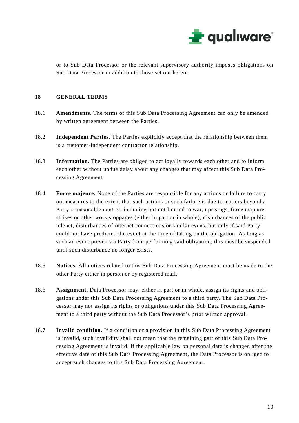

or to Sub Data Processor or the relevant supervisory authority imposes obligations on Sub Data Processor in addition to those set out herein.

# **18 GENERAL TERMS**

- 18.1 **Amendments.** The terms of this Sub Data Processing Agreement can only be amended by written agreement between the Parties.
- 18.2 **Independent Parties.** The Parties explicitly accept that the relationship between them is a customer-independent contractor relationship.
- 18.3 **Information.** The Parties are obliged to act loyally towards each other and to inform each other without undue delay about any changes that may affect this Sub Data Processing Agreement.
- 18.4 **Force majeure.** None of the Parties are responsible for any actions or failure to carry out measures to the extent that such actions or such failure is due to matters beyond a Party's reasonable control, including but not limited to war, uprisings, force majeure, strikes or other work stoppages (either in part or in whole), disturbances of the public telenet, disturbances of internet connections or similar evens, but only if said Party could not have predicted the event at the time of taking on the obligation. As long as such an event prevents a Party from performing said obligation, this must be suspended until such disturbance no longer exists.
- 18.5 **Notices.** All notices related to this Sub Data Processing Agreement must be made to the other Party either in person or by registered mail.
- 18.6 **Assignment.** Data Processor may, either in part or in whole, assign its rights and obligations under this Sub Data Processing Agreement to a third party. The Sub Data Processor may not assign its rights or obligations under this Sub Data Processing Agreement to a third party without the Sub Data Processor's prior written approval.
- 18.7 **Invalid condition.** If a condition or a provision in this Sub Data Processing Agreement is invalid, such invalidity shall not mean that the remaining part of this Sub Data Processing Agreement is invalid. If the applicable law on personal data is changed after the effective date of this Sub Data Processing Agreement, the Data Processor is obliged to accept such changes to this Sub Data Processing Agreement.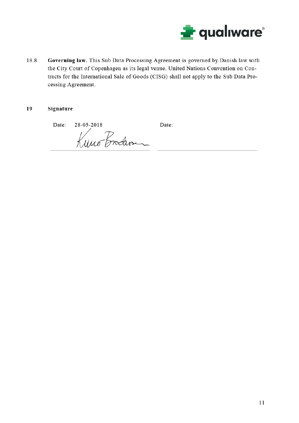

18.8 Governing law. This Sub Data Processing Agreement is governed by Danish law with the City Court of Copenhagen as its legal venue. United Nations Convention on Contracts for the International Sale of Goods (CISG) shall not apply to the Sub Data Processing Agreement.

#### 19 Signature

Date: 28-05-2018 Date:

Kuno Broder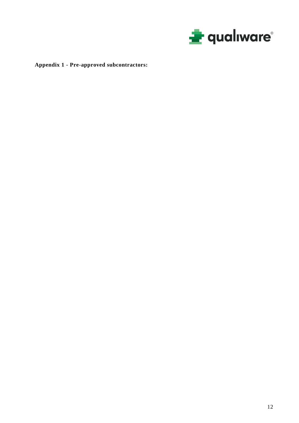

**Appendix 1 - Pre-approved subcontractors:**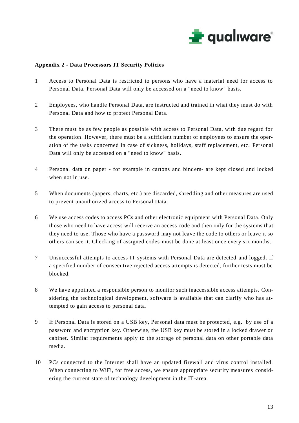

#### **Appendix 2 - Data Processors IT Security Policies**

- 1 Access to Personal Data is restricted to persons who have a material need for access to Personal Data. Personal Data will only be accessed on a "need to know" basis.
- 2 Employees, who handle Personal Data, are instructed and trained in what they must do with Personal Data and how to protect Personal Data.
- 3 There must be as few people as possible with access to Personal Data, with due regard for the operation. However, there must be a sufficient number of employees to ensure the operation of the tasks concerned in case of sickness, holidays, staff replacement, etc. Personal Data will only be accessed on a "need to know" basis.
- 4 Personal data on paper for example in cartons and binders- are kept closed and locked when not in use.
- 5 When documents (papers, charts, etc.) are discarded, shredding and other measures are used to prevent unauthorized access to Personal Data.
- 6 We use access codes to access PCs and other electronic equipment with Personal Data. Only those who need to have access will receive an access code and then only for the systems that they need to use. Those who have a password may not leave the code to others or leave it so others can see it. Checking of assigned codes must be done at least once every six months.
- 7 Unsuccessful attempts to access IT systems with Personal Data are detected and logged. If a specified number of consecutive rejected access attempts is detected, further tests must be blocked.
- 8 We have appointed a responsible person to monitor such inaccessible access attempts. Considering the technological development, software is available that can clarify who has attempted to gain access to personal data.
- 9 If Personal Data is stored on a USB key, Personal data must be protected, e.g. by use of a password and encryption key. Otherwise, the USB key must be stored in a locked drawer or cabinet. Similar requirements apply to the storage of personal data on other portable data media.
- 10 PCs connected to the Internet shall have an updated firewall and virus control installed. When connecting to WiFi, for free access, we ensure appropriate security measures considering the current state of technology development in the IT-area.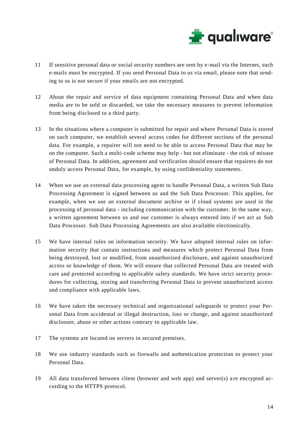

- 11 If sensitive personal data or social security numbers are sent by e-mail via the Internet, such e-mails must be encrypted. If you send Personal Data to us via email, please note that sending to us is not secure if your emails are not encrypted.
- 12 About the repair and service of data equipment containing Personal Data and when data media are to be sold or discarded, we take the necessary measures to prevent information from being disclosed to a third party.
- 13 In the situations where a computer is submitted for repair and where Personal Data is stored on such computer, we establish several access codes for different sections of the personal data. For example, a repairer will not need to be able to access Personal Data that may be on the computer. Such a multi-code scheme may help - but not eliminate - the risk of misuse of Personal Data. In addition, agreement and verification should ensure that repairers do not unduly access Personal Data, for example, by using confidentiality statements.
- 14 When we use an external data processing agent to handle Personal Data, a written Sub Data Processing Agreement is signed between us and the Sub Data Processor. This applies, for example, when we use an external document archive or if cloud systems are used in the processing of personal data - including communication with the customer. In the same way, a written agreement between us and our customer is always entered into if we act as Sub Data Processor. Sub Data Processing Agreements are also available electronically.
- 15 We have internal rules on information security. We have adopted internal rules on information security that contain instructions and measures which protect Personal Data from being destroyed, lost or modified, from unauthorized disclosure, and against unauthorized access or knowledge of them. We will ensure that collected Personal Data are treated with care and protected according to applicable safety standards. We have strict security procedures for collecting, storing and transferring Personal Data to prevent unauthorized access and compliance with applicable laws.
- 16 We have taken the necessary technical and organizational safeguards to protect your Personal Data from accidental or illegal destruction, loss or change, and against unauthorized disclosure, abuse or other actions contrary to applicable law.
- 17 The systems are located on servers in secured premises.
- 18 We use industry standards such as firewalls and authentication protection to protect your Personal Data.
- 19 All data transferred between client (browser and web app) and server(s) are encrypted according to the HTTPS protocol.